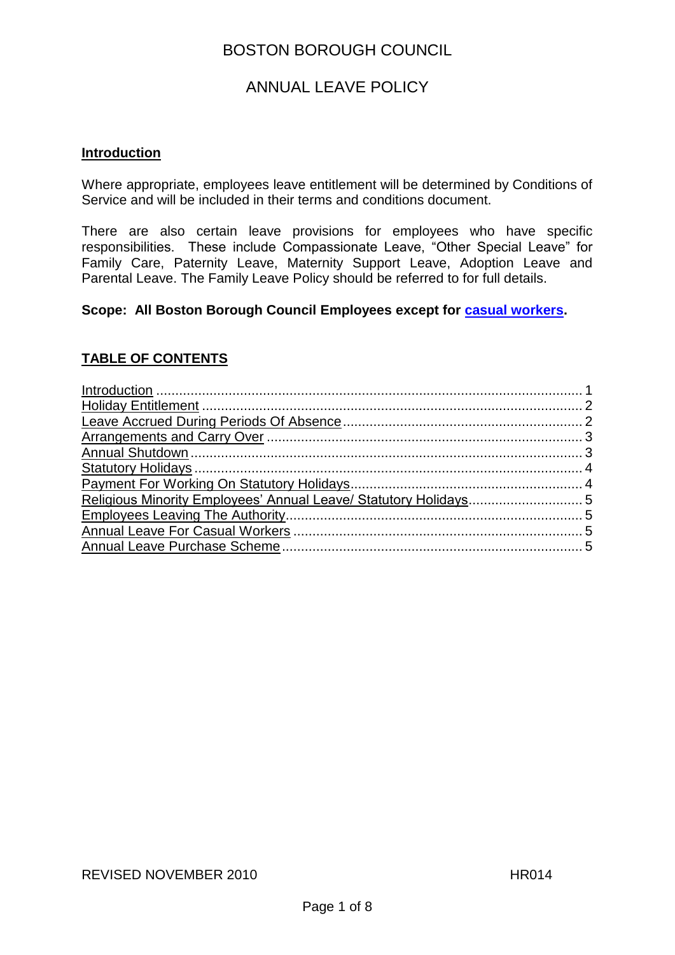### ANNUAL LEAVE POLICY

#### **Introduction**

Where appropriate, employees leave entitlement will be determined by Conditions of Service and will be included in their terms and conditions document.

There are also certain leave provisions for employees who have specific responsibilities. These include Compassionate Leave, "Other Special Leave" for Family Care, Paternity Leave, Maternity Support Leave, Adoption Leave and Parental Leave. The Family Leave Policy should be referred to for full details.

#### **Scope: All Boston Borough Council Employees except for [casual workers.](#page-4-0)**

### **TABLE OF CONTENTS**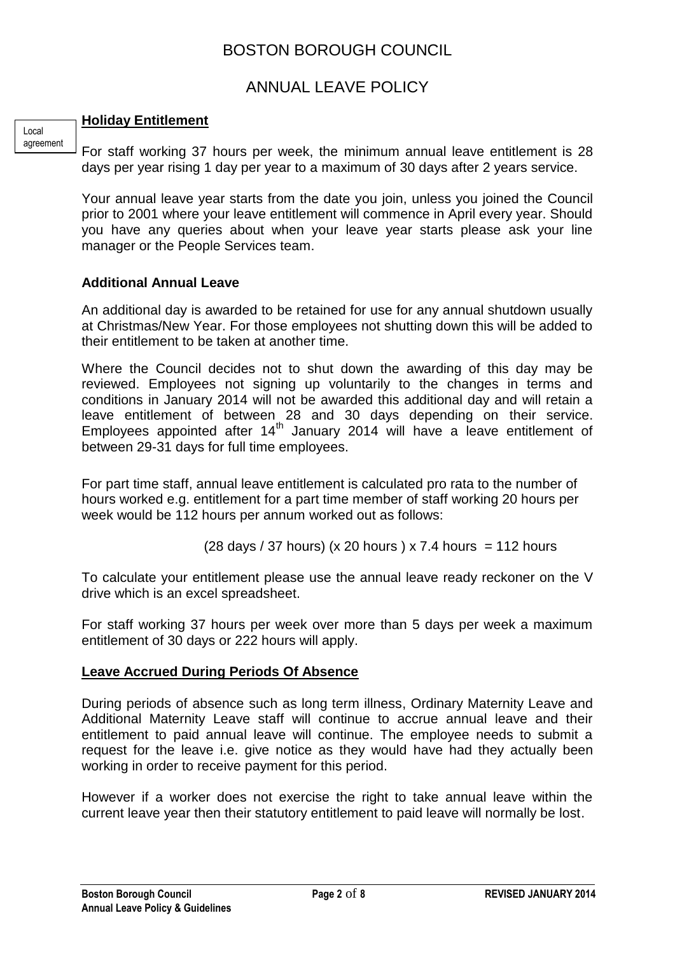### ANNUAL LEAVE POLICY

#### **Holiday Entitlement**

Local agreement

For staff working 37 hours per week, the minimum annual leave entitlement is 28 days per year rising 1 day per year to a maximum of 30 days after 2 years service.

Your annual leave year starts from the date you join, unless you joined the Council prior to 2001 where your leave entitlement will commence in April every year. Should you have any queries about when your leave year starts please ask your line manager or the People Services team.

### **Additional Annual Leave**

An additional day is awarded to be retained for use for any annual shutdown usually at Christmas/New Year. For those employees not shutting down this will be added to their entitlement to be taken at another time.

Where the Council decides not to shut down the awarding of this day may be reviewed. Employees not signing up voluntarily to the changes in terms and conditions in January 2014 will not be awarded this additional day and will retain a leave entitlement of between 28 and 30 days depending on their service. Employees appointed after 14th January 2014 will have a leave entitlement of between 29-31 days for full time employees.

For part time staff, annual leave entitlement is calculated pro rata to the number of hours worked e.g. entitlement for a part time member of staff working 20 hours per week would be 112 hours per annum worked out as follows:

(28 days / 37 hours) (x 20 hours ) x 7.4 hours = 112 hours

To calculate your entitlement please use the annual leave ready reckoner on the V drive which is an excel spreadsheet.

For staff working 37 hours per week over more than 5 days per week a maximum entitlement of 30 days or 222 hours will apply.

### **Leave Accrued During Periods Of Absence**

During periods of absence such as long term illness, Ordinary Maternity Leave and Additional Maternity Leave staff will continue to accrue annual leave and their entitlement to paid annual leave will continue. The employee needs to submit a request for the leave i.e. give notice as they would have had they actually been working in order to receive payment for this period.

However if a worker does not exercise the right to take annual leave within the current leave year then their statutory entitlement to paid leave will normally be lost.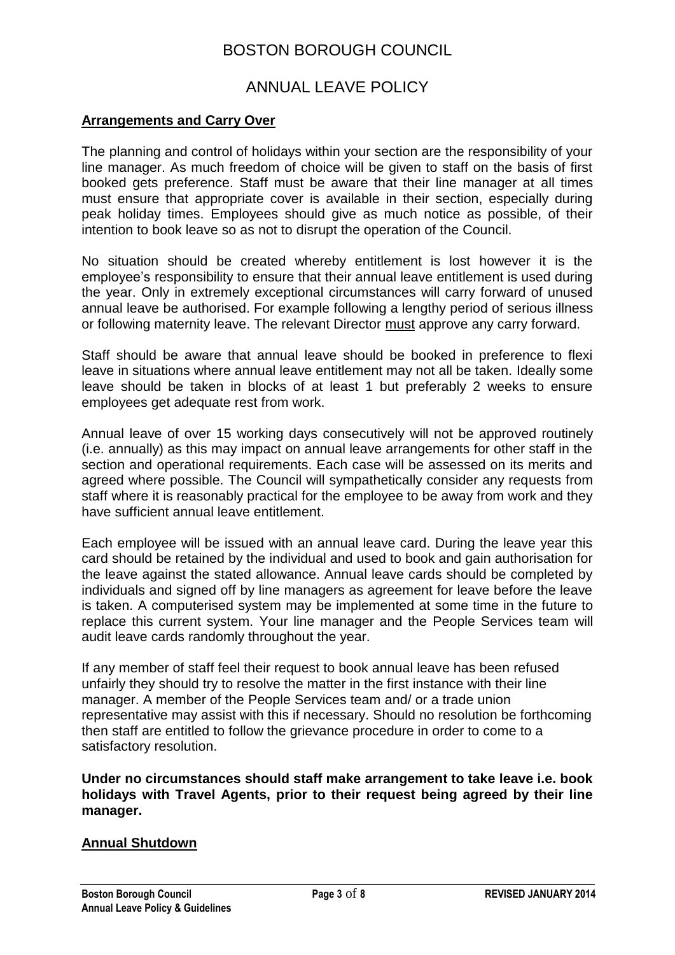### ANNUAL LEAVE POLICY

#### **Arrangements and Carry Over**

The planning and control of holidays within your section are the responsibility of your line manager. As much freedom of choice will be given to staff on the basis of first booked gets preference. Staff must be aware that their line manager at all times must ensure that appropriate cover is available in their section, especially during peak holiday times. Employees should give as much notice as possible, of their intention to book leave so as not to disrupt the operation of the Council.

No situation should be created whereby entitlement is lost however it is the employee's responsibility to ensure that their annual leave entitlement is used during the year. Only in extremely exceptional circumstances will carry forward of unused annual leave be authorised. For example following a lengthy period of serious illness or following maternity leave. The relevant Director must approve any carry forward.

Staff should be aware that annual leave should be booked in preference to flexi leave in situations where annual leave entitlement may not all be taken. Ideally some leave should be taken in blocks of at least 1 but preferably 2 weeks to ensure employees get adequate rest from work.

Annual leave of over 15 working days consecutively will not be approved routinely (i.e. annually) as this may impact on annual leave arrangements for other staff in the section and operational requirements. Each case will be assessed on its merits and agreed where possible. The Council will sympathetically consider any requests from staff where it is reasonably practical for the employee to be away from work and they have sufficient annual leave entitlement.

Each employee will be issued with an annual leave card. During the leave year this card should be retained by the individual and used to book and gain authorisation for the leave against the stated allowance. Annual leave cards should be completed by individuals and signed off by line managers as agreement for leave before the leave is taken. A computerised system may be implemented at some time in the future to replace this current system. Your line manager and the People Services team will audit leave cards randomly throughout the year.

If any member of staff feel their request to book annual leave has been refused unfairly they should try to resolve the matter in the first instance with their line manager. A member of the People Services team and/ or a trade union representative may assist with this if necessary. Should no resolution be forthcoming then staff are entitled to follow the grievance procedure in order to come to a satisfactory resolution.

**Under no circumstances should staff make arrangement to take leave i.e. book holidays with Travel Agents, prior to their request being agreed by their line manager.**

### **Annual Shutdown**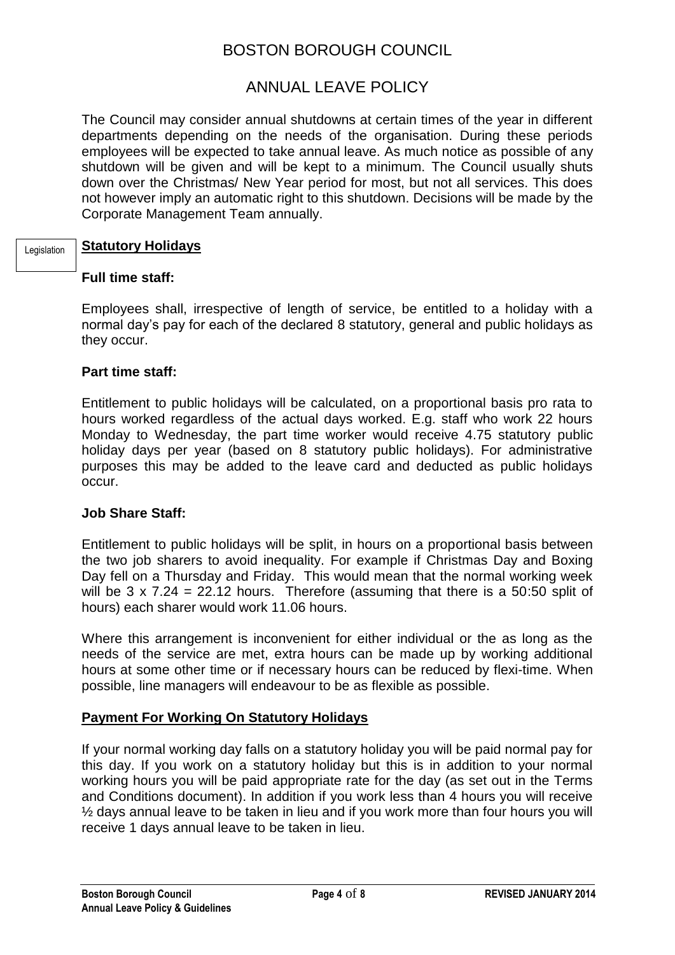### ANNUAL LEAVE POLICY

The Council may consider annual shutdowns at certain times of the year in different departments depending on the needs of the organisation. During these periods employees will be expected to take annual leave. As much notice as possible of any shutdown will be given and will be kept to a minimum. The Council usually shuts down over the Christmas/ New Year period for most, but not all services. This does not however imply an automatic right to this shutdown. Decisions will be made by the Corporate Management Team annually.

#### **Statutory Holidays** Legislation

### **Full time staff:**

Employees shall, irrespective of length of service, be entitled to a holiday with a normal day's pay for each of the declared 8 statutory, general and public holidays as they occur.

### **Part time staff:**

Entitlement to public holidays will be calculated, on a proportional basis pro rata to hours worked regardless of the actual days worked. E.g. staff who work 22 hours Monday to Wednesday, the part time worker would receive 4.75 statutory public holiday days per year (based on 8 statutory public holidays). For administrative purposes this may be added to the leave card and deducted as public holidays occur.

### **Job Share Staff:**

Entitlement to public holidays will be split, in hours on a proportional basis between the two job sharers to avoid inequality. For example if Christmas Day and Boxing Day fell on a Thursday and Friday. This would mean that the normal working week will be  $3 \times 7.24 = 22.12$  hours. Therefore (assuming that there is a 50:50 split of hours) each sharer would work 11.06 hours.

Where this arrangement is inconvenient for either individual or the as long as the needs of the service are met, extra hours can be made up by working additional hours at some other time or if necessary hours can be reduced by flexi-time. When possible, line managers will endeavour to be as flexible as possible.

### **Payment For Working On Statutory Holidays**

If your normal working day falls on a statutory holiday you will be paid normal pay for this day. If you work on a statutory holiday but this is in addition to your normal working hours you will be paid appropriate rate for the day (as set out in the Terms and Conditions document). In addition if you work less than 4 hours you will receive ½ days annual leave to be taken in lieu and if you work more than four hours you will receive 1 days annual leave to be taken in lieu.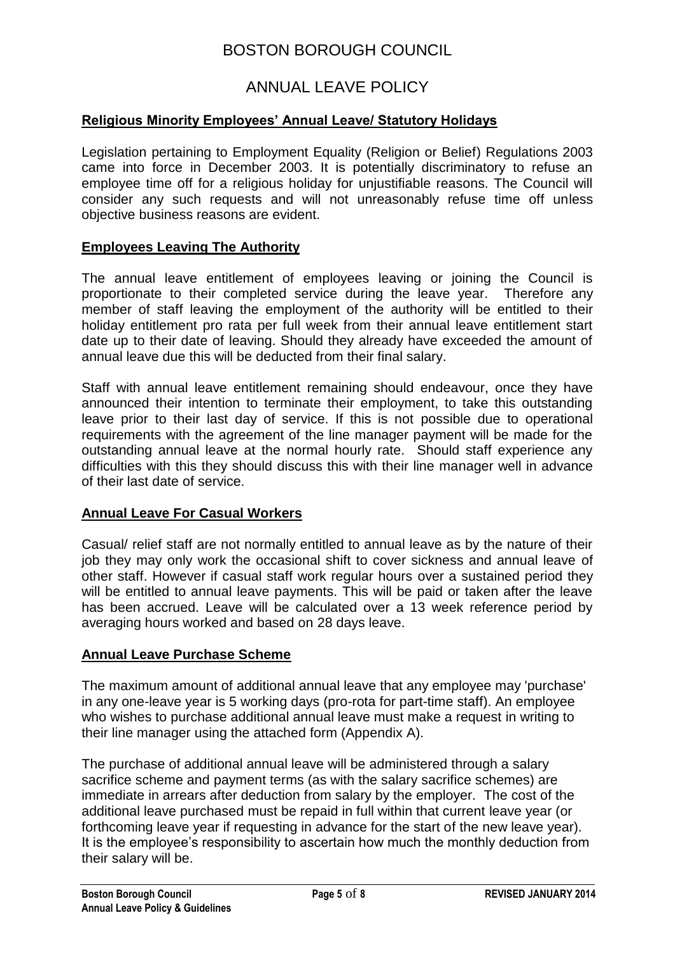### ANNUAL LEAVE POLICY

### **Religious Minority Employees' Annual Leave/ Statutory Holidays**

Legislation pertaining to Employment Equality (Religion or Belief) Regulations 2003 came into force in December 2003. It is potentially discriminatory to refuse an employee time off for a religious holiday for unjustifiable reasons. The Council will consider any such requests and will not unreasonably refuse time off unless objective business reasons are evident.

#### **Employees Leaving The Authority**

The annual leave entitlement of employees leaving or joining the Council is proportionate to their completed service during the leave year. Therefore any member of staff leaving the employment of the authority will be entitled to their holiday entitlement pro rata per full week from their annual leave entitlement start date up to their date of leaving. Should they already have exceeded the amount of annual leave due this will be deducted from their final salary.

Staff with annual leave entitlement remaining should endeavour, once they have announced their intention to terminate their employment, to take this outstanding leave prior to their last day of service. If this is not possible due to operational requirements with the agreement of the line manager payment will be made for the outstanding annual leave at the normal hourly rate. Should staff experience any difficulties with this they should discuss this with their line manager well in advance of their last date of service.

### <span id="page-4-0"></span>**Annual Leave For Casual Workers**

Casual/ relief staff are not normally entitled to annual leave as by the nature of their job they may only work the occasional shift to cover sickness and annual leave of other staff. However if casual staff work regular hours over a sustained period they will be entitled to annual leave payments. This will be paid or taken after the leave has been accrued. Leave will be calculated over a 13 week reference period by averaging hours worked and based on 28 days leave.

### **Annual Leave Purchase Scheme**

The maximum amount of additional annual leave that any employee may 'purchase' in any one-leave year is 5 working days (pro-rota for part-time staff). An employee who wishes to purchase additional annual leave must make a request in writing to their line manager using the attached form (Appendix A).

The purchase of additional annual leave will be administered through a salary sacrifice scheme and payment terms (as with the salary sacrifice schemes) are immediate in arrears after deduction from salary by the employer. The cost of the additional leave purchased must be repaid in full within that current leave year (or forthcoming leave year if requesting in advance for the start of the new leave year). It is the employee's responsibility to ascertain how much the monthly deduction from their salary will be.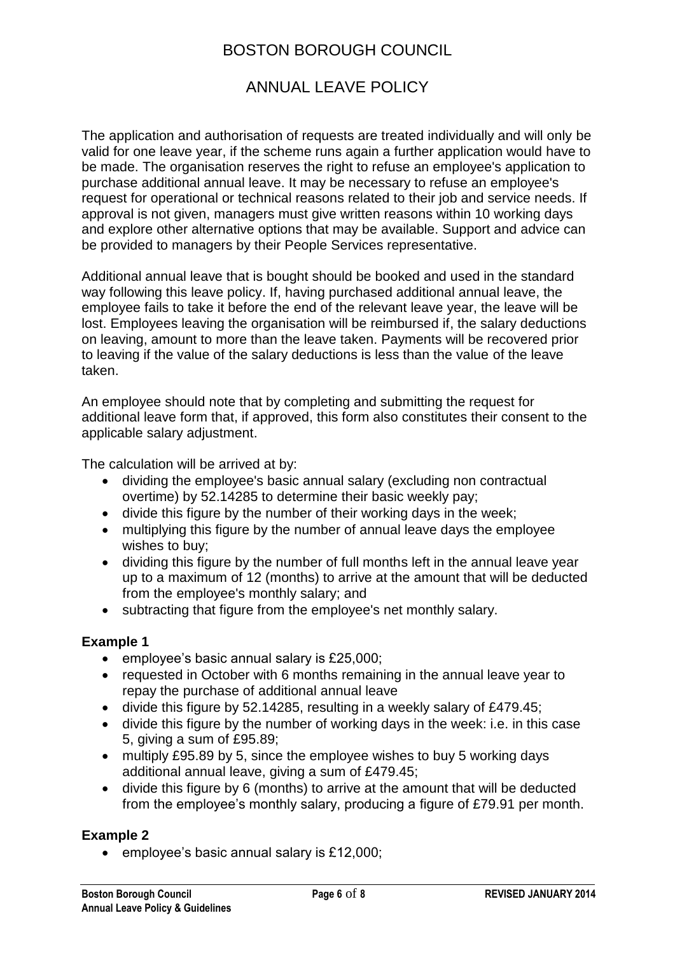# ANNUAL LEAVE POLICY

The application and authorisation of requests are treated individually and will only be valid for one leave year, if the scheme runs again a further application would have to be made. The organisation reserves the right to refuse an employee's application to purchase additional annual leave. It may be necessary to refuse an employee's request for operational or technical reasons related to their job and service needs. If approval is not given, managers must give written reasons within 10 working days and explore other alternative options that may be available. Support and advice can be provided to managers by their People Services representative.

Additional annual leave that is bought should be booked and used in the standard way following this leave policy. If, having purchased additional annual leave, the employee fails to take it before the end of the relevant leave year, the leave will be lost. Employees leaving the organisation will be reimbursed if, the salary deductions on leaving, amount to more than the leave taken. Payments will be recovered prior to leaving if the value of the salary deductions is less than the value of the leave taken.

An employee should note that by completing and submitting the request for additional leave form that, if approved, this form also constitutes their consent to the applicable salary adjustment.

The calculation will be arrived at by:

- dividing the employee's basic annual salary (excluding non contractual overtime) by 52.14285 to determine their basic weekly pay;
- divide this figure by the number of their working days in the week;
- multiplying this figure by the number of annual leave days the employee wishes to buy;
- dividing this figure by the number of full months left in the annual leave year up to a maximum of 12 (months) to arrive at the amount that will be deducted from the employee's monthly salary; and
- subtracting that figure from the employee's net monthly salary.

### **Example 1**

- employee's basic annual salary is £25,000;
- requested in October with 6 months remaining in the annual leave year to repay the purchase of additional annual leave
- divide this figure by 52.14285, resulting in a weekly salary of £479.45;
- divide this figure by the number of working days in the week: i.e. in this case 5, giving a sum of £95.89;
- multiply £95.89 by 5, since the employee wishes to buy 5 working days additional annual leave, giving a sum of £479.45;
- divide this figure by 6 (months) to arrive at the amount that will be deducted from the employee's monthly salary, producing a figure of £79.91 per month.

### **Example 2**

employee's basic annual salary is £12,000;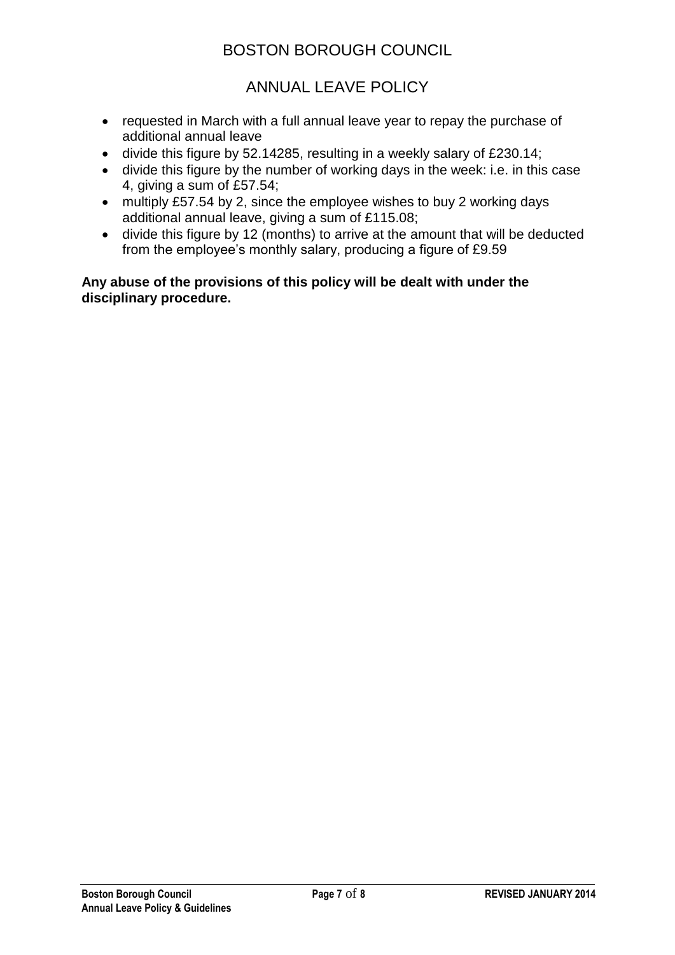### ANNUAL LEAVE POLICY

- requested in March with a full annual leave year to repay the purchase of additional annual leave
- divide this figure by 52.14285, resulting in a weekly salary of £230.14;
- divide this figure by the number of working days in the week: i.e. in this case 4, giving a sum of £57.54;
- multiply £57.54 by 2, since the employee wishes to buy 2 working days additional annual leave, giving a sum of £115.08;
- divide this figure by 12 (months) to arrive at the amount that will be deducted from the employee's monthly salary, producing a figure of £9.59

**Any abuse of the provisions of this policy will be dealt with under the disciplinary procedure.**